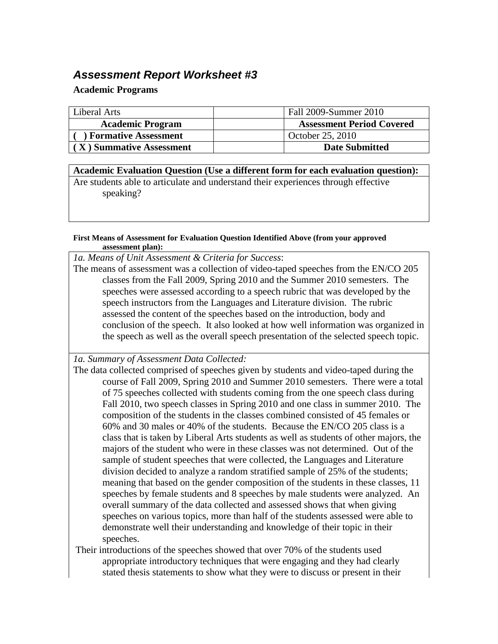## *Assessment Report Worksheet #3*

## **Academic Programs**

| Liberal Arts                | Fall 2009-Summer 2010            |
|-----------------------------|----------------------------------|
| <b>Academic Program</b>     | <b>Assessment Period Covered</b> |
| <b>Formative Assessment</b> | October 25, 2010                 |
| (X) Summative Assessment    | <b>Date Submitted</b>            |

**Academic Evaluation Question (Use a different form for each evaluation question):** Are students able to articulate and understand their experiences through effective speaking?

## **First Means of Assessment for Evaluation Question Identified Above (from your approved assessment plan):**

*1a. Means of Unit Assessment & Criteria for Success*:

The means of assessment was a collection of video-taped speeches from the EN/CO 205 classes from the Fall 2009, Spring 2010 and the Summer 2010 semesters. The speeches were assessed according to a speech rubric that was developed by the speech instructors from the Languages and Literature division. The rubric assessed the content of the speeches based on the introduction, body and conclusion of the speech. It also looked at how well information was organized in the speech as well as the overall speech presentation of the selected speech topic.

*1a. Summary of Assessment Data Collected:*

The data collected comprised of speeches given by students and video-taped during the course of Fall 2009, Spring 2010 and Summer 2010 semesters. There were a total of 75 speeches collected with students coming from the one speech class during Fall 2010, two speech classes in Spring 2010 and one class in summer 2010. The composition of the students in the classes combined consisted of 45 females or 60% and 30 males or 40% of the students. Because the EN/CO 205 class is a class that is taken by Liberal Arts students as well as students of other majors, the majors of the student who were in these classes was not determined. Out of the sample of student speeches that were collected, the Languages and Literature division decided to analyze a random stratified sample of 25% of the students; meaning that based on the gender composition of the students in these classes, 11 speeches by female students and 8 speeches by male students were analyzed. An overall summary of the data collected and assessed shows that when giving speeches on various topics, more than half of the students assessed were able to demonstrate well their understanding and knowledge of their topic in their speeches.

Their introductions of the speeches showed that over 70% of the students used appropriate introductory techniques that were engaging and they had clearly stated thesis statements to show what they were to discuss or present in their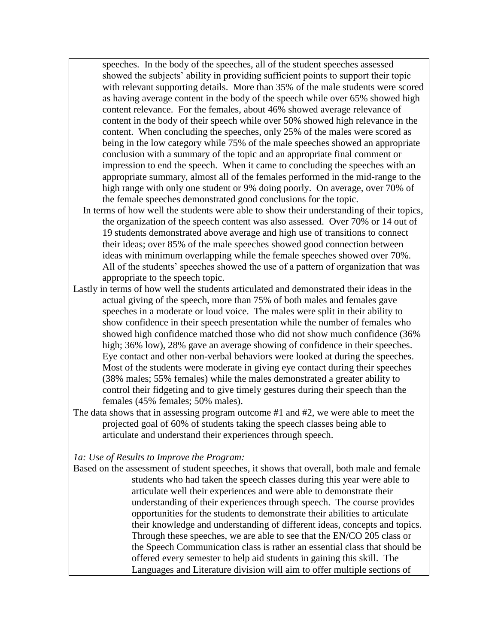speeches. In the body of the speeches, all of the student speeches assessed showed the subjects' ability in providing sufficient points to support their topic with relevant supporting details. More than 35% of the male students were scored as having average content in the body of the speech while over 65% showed high content relevance. For the females, about 46% showed average relevance of content in the body of their speech while over 50% showed high relevance in the content. When concluding the speeches, only 25% of the males were scored as being in the low category while 75% of the male speeches showed an appropriate conclusion with a summary of the topic and an appropriate final comment or impression to end the speech. When it came to concluding the speeches with an appropriate summary, almost all of the females performed in the mid-range to the high range with only one student or 9% doing poorly. On average, over 70% of the female speeches demonstrated good conclusions for the topic.

- In terms of how well the students were able to show their understanding of their topics, the organization of the speech content was also assessed. Over 70% or 14 out of 19 students demonstrated above average and high use of transitions to connect their ideas; over 85% of the male speeches showed good connection between ideas with minimum overlapping while the female speeches showed over 70%. All of the students' speeches showed the use of a pattern of organization that was appropriate to the speech topic.
- Lastly in terms of how well the students articulated and demonstrated their ideas in the actual giving of the speech, more than 75% of both males and females gave speeches in a moderate or loud voice. The males were split in their ability to show confidence in their speech presentation while the number of females who showed high confidence matched those who did not show much confidence (36% high; 36% low), 28% gave an average showing of confidence in their speeches. Eye contact and other non-verbal behaviors were looked at during the speeches. Most of the students were moderate in giving eye contact during their speeches (38% males; 55% females) while the males demonstrated a greater ability to control their fidgeting and to give timely gestures during their speech than the females (45% females; 50% males).
- The data shows that in assessing program outcome #1 and #2, we were able to meet the projected goal of 60% of students taking the speech classes being able to articulate and understand their experiences through speech.

## *1a: Use of Results to Improve the Program:*

Based on the assessment of student speeches, it shows that overall, both male and female students who had taken the speech classes during this year were able to articulate well their experiences and were able to demonstrate their understanding of their experiences through speech. The course provides opportunities for the students to demonstrate their abilities to articulate their knowledge and understanding of different ideas, concepts and topics. Through these speeches, we are able to see that the EN/CO 205 class or the Speech Communication class is rather an essential class that should be offered every semester to help aid students in gaining this skill. The Languages and Literature division will aim to offer multiple sections of